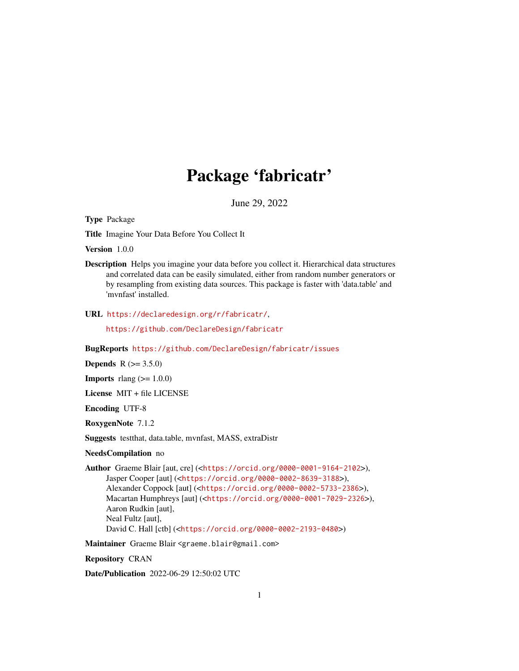# Package 'fabricatr'

June 29, 2022

Type Package

Title Imagine Your Data Before You Collect It

Version 1.0.0

Description Helps you imagine your data before you collect it. Hierarchical data structures and correlated data can be easily simulated, either from random number generators or by resampling from existing data sources. This package is faster with 'data.table' and 'mvnfast' installed.

URL <https://declaredesign.org/r/fabricatr/>,

<https://github.com/DeclareDesign/fabricatr>

BugReports <https://github.com/DeclareDesign/fabricatr/issues>

**Depends**  $R (= 3.5.0)$ 

**Imports** rlang  $(>= 1.0.0)$ 

License MIT + file LICENSE

Encoding UTF-8

RoxygenNote 7.1.2

Suggests testthat, data.table, mvnfast, MASS, extraDistr

# NeedsCompilation no

Author Graeme Blair [aut, cre] (<<https://orcid.org/0000-0001-9164-2102>>), Jasper Cooper [aut] (<<https://orcid.org/0000-0002-8639-3188>>), Alexander Coppock [aut] (<<https://orcid.org/0000-0002-5733-2386>>), Macartan Humphreys [aut] (<<https://orcid.org/0000-0001-7029-2326>>), Aaron Rudkin [aut], Neal Fultz [aut], David C. Hall [ctb] (<<https://orcid.org/0000-0002-2193-0480>>)

Maintainer Graeme Blair <graeme.blair@gmail.com>

Repository CRAN

Date/Publication 2022-06-29 12:50:02 UTC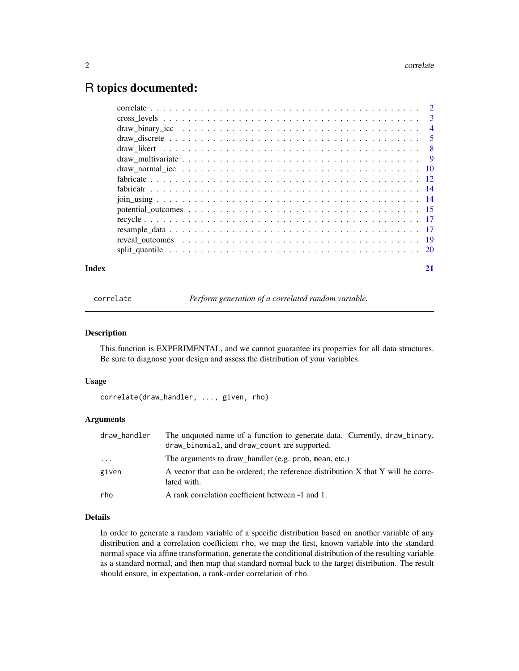# <span id="page-1-0"></span>R topics documented:

| Index | 21 |
|-------|----|

correlate *Perform generation of a correlated random variable.*

#### Description

This function is EXPERIMENTAL, and we cannot guarantee its properties for all data structures. Be sure to diagnose your design and assess the distribution of your variables.

# Usage

correlate(draw\_handler, ..., given, rho)

# Arguments

| draw_handler            | The unquoted name of a function to generate data. Currently, draw_binary,<br>draw_binomial, and draw_count are supported. |
|-------------------------|---------------------------------------------------------------------------------------------------------------------------|
| $\cdot$ $\cdot$ $\cdot$ | The arguments to draw handler (e.g. prob, mean, etc.)                                                                     |
| given                   | A vector that can be ordered; the reference distribution X that Y will be corre-<br>lated with.                           |
| rho                     | A rank correlation coefficient between -1 and 1.                                                                          |

# Details

In order to generate a random variable of a specific distribution based on another variable of any distribution and a correlation coefficient rho, we map the first, known variable into the standard normal space via affine transformation, generate the conditional distribution of the resulting variable as a standard normal, and then map that standard normal back to the target distribution. The result should ensure, in expectation, a rank-order correlation of rho.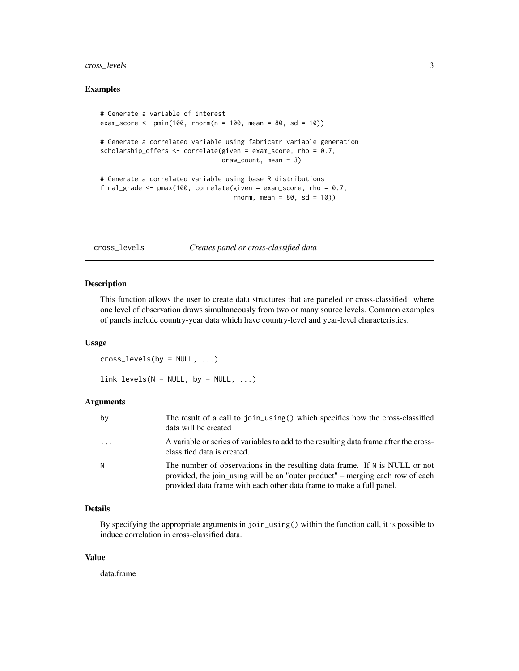# <span id="page-2-0"></span>cross\_levels 3

# Examples

```
# Generate a variable of interest
exam_score <- pmin(100, norm(n = 100, mean = 80, sd = 10))# Generate a correlated variable using fabricatr variable generation
scholarship_offers \leq correlate(given = exam_score, rho = 0.7,
                                draw_count, mean = 3)
# Generate a correlated variable using base R distributions
final_grade <- pmax(100, correlate(given = exam_score, rho = 0.7,
                                   rnorm, mean = 80, sd = 10))
```
cross\_levels *Creates panel or cross-classified data*

# <span id="page-2-1"></span>Description

This function allows the user to create data structures that are paneled or cross-classified: where one level of observation draws simultaneously from two or many source levels. Common examples of panels include country-year data which have country-level and year-level characteristics.

#### Usage

cross\_levels(by = NULL, ...)

 $link\_levels(N = NULL, by = NULL, ...)$ 

#### Arguments

| by       | The result of a call to join_using() which specifies how the cross-classified<br>data will be created                                                                                                                                 |
|----------|---------------------------------------------------------------------------------------------------------------------------------------------------------------------------------------------------------------------------------------|
| $\cdots$ | A variable or series of variables to add to the resulting data frame after the cross-<br>classified data is created.                                                                                                                  |
| Ν        | The number of observations in the resulting data frame. If N is NULL or not<br>provided, the join using will be an "outer product" – merging each row of each<br>provided data frame with each other data frame to make a full panel. |

# Details

By specifying the appropriate arguments in join\_using() within the function call, it is possible to induce correlation in cross-classified data.

# Value

data.frame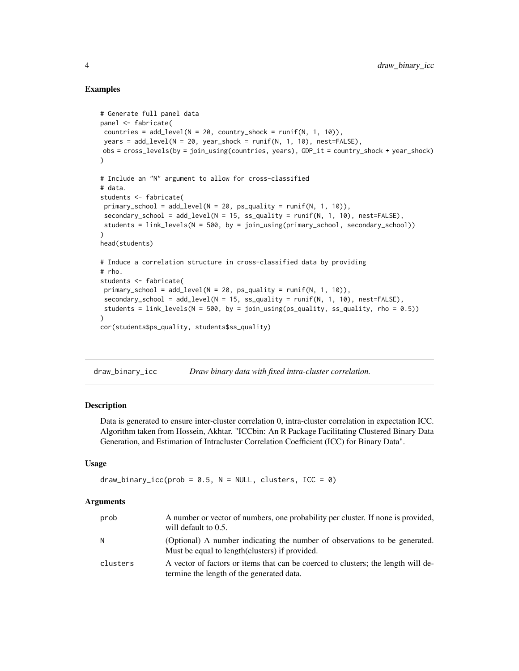# Examples

```
# Generate full panel data
panel <- fabricate(
countries = add\_level(N = 20, country\_shock = runif(N, 1, 10)),years = add\_level(N = 20, year\_shock = runif(N, 1, 10), nest=FALSE),
obs = cross_levels(by = join_using(countries, years), GDP_it = country_shock + year_shock)
)
# Include an "N" argument to allow for cross-classified
# data.
students <- fabricate(
primary_school = add_level(N = 20, ps_quality = runif(N, 1, 10)),
secondary_school = add\_level(N = 15, ss\_quality = runif(N, 1, 10), nest=FALSE),
students = link_levels(N = 500, by = join_using(primary_school, secondary_school))
)
head(students)
# Induce a correlation structure in cross-classified data by providing
# rho.
students <- fabricate(
primary_school = add\_level(N = 20, ps\_quality = runif(N, 1, 10)),secondary_school = add\_level(N = 15, ss\_quality = runif(N, 1, 10), nest=FALSE),
students = link\_levels(N = 500, by = join\_using(ps\_quality, ss\_quality, rho = 0.5)))
cor(students$ps_quality, students$ss_quality)
```
<span id="page-3-1"></span>draw\_binary\_icc *Draw binary data with fixed intra-cluster correlation.*

# Description

Data is generated to ensure inter-cluster correlation 0, intra-cluster correlation in expectation ICC. Algorithm taken from Hossein, Akhtar. "ICCbin: An R Package Facilitating Clustered Binary Data Generation, and Estimation of Intracluster Correlation Coefficient (ICC) for Binary Data".

# Usage

```
draw_binary_icc(prob = 0.5, N = NULL, clusters, ICC = 0)
```
#### Arguments

| prob     | A number or vector of numbers, one probability per cluster. If none is provided,<br>will default to $0.5$ .                    |
|----------|--------------------------------------------------------------------------------------------------------------------------------|
| N        | (Optional) A number indicating the number of observations to be generated.<br>Must be equal to length (clusters) if provided.  |
| clusters | A vector of factors or items that can be coerced to clusters; the length will de-<br>termine the length of the generated data. |

<span id="page-3-0"></span>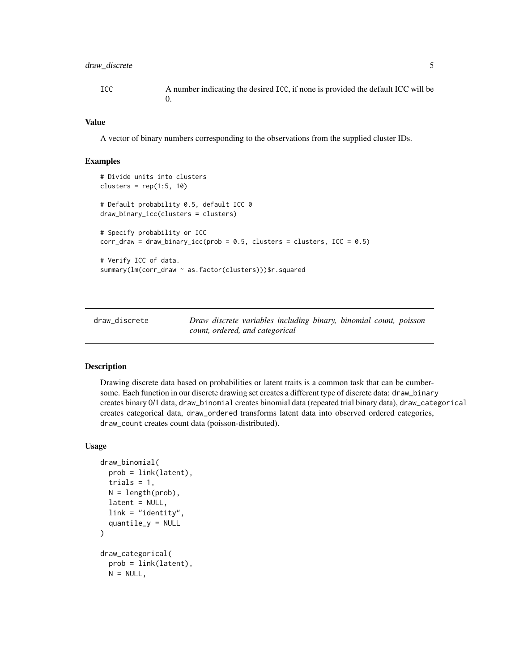# <span id="page-4-0"></span>draw\_discrete 5

ICC A number indicating the desired ICC, if none is provided the default ICC will be 0.

#### Value

A vector of binary numbers corresponding to the observations from the supplied cluster IDs.

# Examples

```
# Divide units into clusters
clusters = rep(1:5, 10)# Default probability 0.5, default ICC 0
draw_binary_icc(clusters = clusters)
# Specify probability or ICC
corr\_draw = draw\_binary\_icc(prob = 0.5, clusters = clusters, ICC = 0.5)# Verify ICC of data.
summary(lm(corr_draw ~ as.factor(clusters)))$r.squared
```
draw\_discrete *Draw discrete variables including binary, binomial count, poisson count, ordered, and categorical*

#### <span id="page-4-1"></span>Description

Drawing discrete data based on probabilities or latent traits is a common task that can be cumbersome. Each function in our discrete drawing set creates a different type of discrete data: draw\_binary creates binary 0/1 data, draw\_binomial creates binomial data (repeated trial binary data), draw\_categorical creates categorical data, draw\_ordered transforms latent data into observed ordered categories, draw\_count creates count data (poisson-distributed).

#### Usage

```
draw_binomial(
 prob = link(latent),
  trials = 1,
 N = length(prob),
  latent = NULL,link = "identity",
  quantile_y = NULL
)
draw_categorical(
  prob = link(latent),
 N = NULL,
```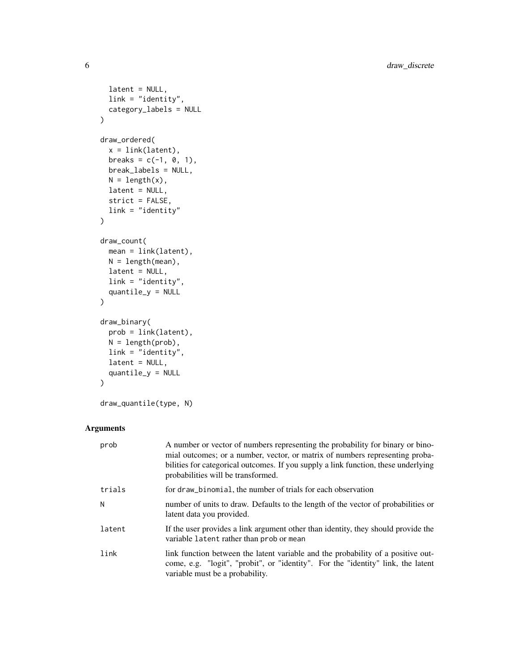```
latent = NULL,
  link = "identity",
  category_labels = NULL
\mathcal{L}draw_ordered(
  x = \text{link}(\text{latent}),breaks = c(-1, 0, 1),
  break_labels = NULL,
  N = length(x),
  latent = NULL,
  strict = FALSE,
  link = "identity"
\mathcal{L}draw_count(
  mean = link(latent),
  N = length(mean),
  latent = NULL,
  link = "identity",
  quantile_y = NULL
\mathcal{L}draw_binary(
  prob = link(latent),
  N = length(prob),link = "identity",
  latent = NULL,
  quantile_y = NULL
)
```

```
draw_quantile(type, N)
```
# Arguments

| prob   | A number or vector of numbers representing the probability for binary or bino-<br>mial outcomes; or a number, vector, or matrix of numbers representing proba-<br>bilities for categorical outcomes. If you supply a link function, these underlying<br>probabilities will be transformed. |
|--------|--------------------------------------------------------------------------------------------------------------------------------------------------------------------------------------------------------------------------------------------------------------------------------------------|
| trials | for draw_binomial, the number of trials for each observation                                                                                                                                                                                                                               |
| N      | number of units to draw. Defaults to the length of the vector of probabilities or<br>latent data you provided.                                                                                                                                                                             |
| latent | If the user provides a link argument other than identity, they should provide the<br>variable latent rather than prob or mean                                                                                                                                                              |
| link   | link function between the latent variable and the probability of a positive out-<br>come, e.g. "logit", "probit", or "identity". For the "identity" link, the latent<br>variable must be a probability.                                                                                    |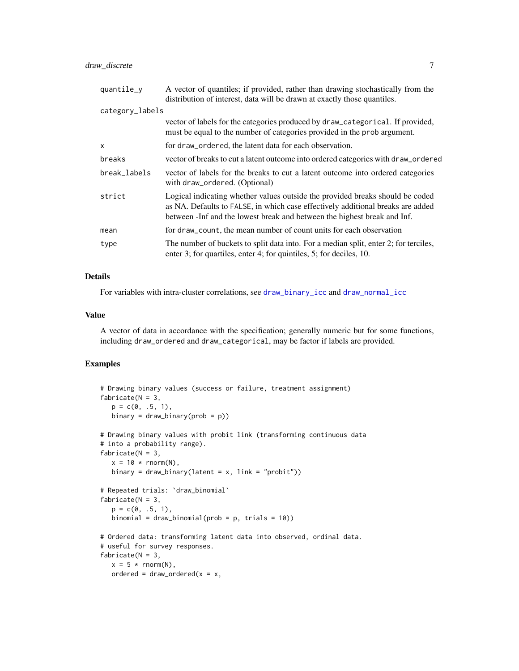# <span id="page-6-0"></span>draw\_discrete 7

| quantile_v      | A vector of quantiles; if provided, rather than drawing stochastically from the<br>distribution of interest, data will be drawn at exactly those quantiles.                                                                                   |
|-----------------|-----------------------------------------------------------------------------------------------------------------------------------------------------------------------------------------------------------------------------------------------|
| category_labels |                                                                                                                                                                                                                                               |
|                 | vector of labels for the categories produced by draw_categorical. If provided,<br>must be equal to the number of categories provided in the prob argument.                                                                                    |
| X               | for draw_ordered, the latent data for each observation.                                                                                                                                                                                       |
| breaks          | vector of breaks to cut a latent outcome into ordered categories with draw_ordered                                                                                                                                                            |
| break_labels    | vector of labels for the breaks to cut a latent outcome into ordered categories<br>with draw_ordered. (Optional)                                                                                                                              |
| strict          | Logical indicating whether values outside the provided breaks should be coded<br>as NA. Defaults to FALSE, in which case effectively additional breaks are added<br>between - Inf and the lowest break and between the highest break and Inf. |
| mean            | for draw_count, the mean number of count units for each observation                                                                                                                                                                           |
| type            | The number of buckets to split data into. For a median split, enter 2; for terciles,<br>enter 3; for quartiles, enter 4; for quintiles, 5; for deciles, 10.                                                                                   |

# Details

For variables with intra-cluster correlations, see [draw\\_binary\\_icc](#page-3-1) and [draw\\_normal\\_icc](#page-9-1)

#### Value

A vector of data in accordance with the specification; generally numeric but for some functions, including draw\_ordered and draw\_categorical, may be factor if labels are provided.

```
# Drawing binary values (success or failure, treatment assignment)
fabricate(N = 3,
   p = c(0, .5, 1),binary = draw_binary(prob = p))
# Drawing binary values with probit link (transforming continuous data
# into a probability range).
fabricate(N = 3,
  x = 10 * rnorm(N),
   binary = draw_binary(latent = x, link = "probit"))
# Repeated trials: `draw_binomial`
fabricate(N = 3,
   p = c(0, .5, 1),binomial = draw_binomial(prob = p, trials = 10))
# Ordered data: transforming latent data into observed, ordinal data.
# useful for survey responses.
fabricate(N = 3,
  x = 5 * rnorm(N),
  ordered = draw_ordered(x = x,
```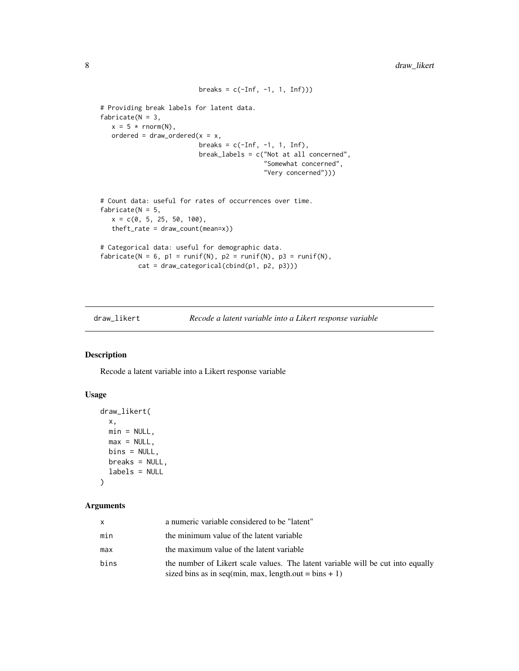```
breaks = c(-Inf, -1, 1, Inf)))# Providing break labels for latent data.
fabricate(N = 3,
  x = 5 * rnorm(N),ordered = draw_ordered(x = x,
                          breaks = c(-Inf, -1, 1, Inf),
                          break_labels = c("Not at all concerned",
                                           "Somewhat concerned",
                                           "Very concerned")))
# Count data: useful for rates of occurrences over time.
fabricate(N = 5,
  x = c(0, 5, 25, 50, 100),
   theft_rate = draw_count(mean=x))
# Categorical data: useful for demographic data.
fabricate(N = 6, p1 = runif(N), p2 = runif(N), p3 = runif(N),
         cat = draw_categorical(cbind(p1, p2, p3)))
```
<span id="page-7-1"></span>draw\_likert *Recode a latent variable into a Likert response variable*

# Description

Recode a latent variable into a Likert response variable

# Usage

```
draw_likert(
 x,
 min = NULL,max = NULL,bins = NULL,
 breaks = NULL,
 labels = NULL
)
```
#### Arguments

|      | a numeric variable considered to be "latent"                                                                                             |
|------|------------------------------------------------------------------------------------------------------------------------------------------|
| min  | the minimum value of the latent variable                                                                                                 |
| max  | the maximum value of the latent variable                                                                                                 |
| bins | the number of Likert scale values. The latent variable will be cut into equally<br>sized bins as in seq(min, max, length.out = bins + 1) |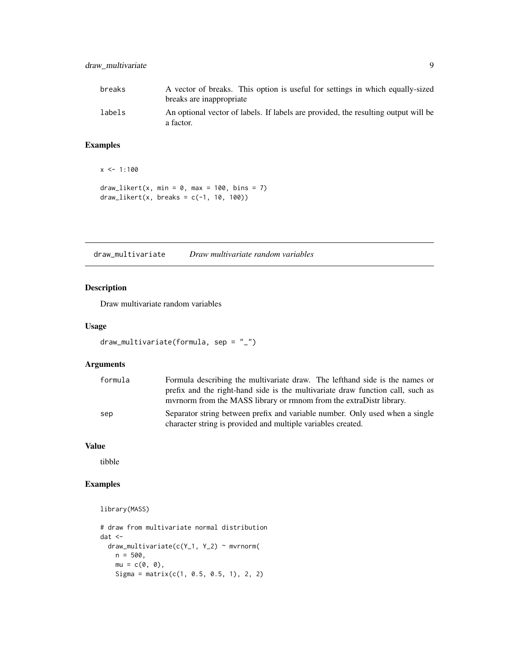<span id="page-8-0"></span>

| breaks | A vector of breaks. This option is useful for settings in which equally-sized<br>breaks are inappropriate |
|--------|-----------------------------------------------------------------------------------------------------------|
| labels | An optional vector of labels. If labels are provided, the resulting output will be<br>a factor.           |

# Examples

```
x \le -1:100draw_likert(x, min = 0, max = 100, bins = 7)
draw_likert(x, breaks = c(-1, 10, 100))
```
draw\_multivariate *Draw multivariate random variables*

# Description

Draw multivariate random variables

# Usage

```
draw_multivariate(formula, sep = "_")
```
# Arguments

| formula | Formula describing the multivariate draw. The lefthand side is the names or    |
|---------|--------------------------------------------------------------------------------|
|         | prefix and the right-hand side is the multivariate draw function call, such as |
|         | myrnorm from the MASS library or rmnom from the extraDistr library.            |
| sep     | Separator string between prefix and variable number. Only used when a single   |
|         | character string is provided and multiple variables created.                   |

# Value

tibble

# Examples

library(MASS)

```
# draw from multivariate normal distribution
dat <-
 draw_multivariate(c(Y_1, Y_2) ~ mvrnorm(
   n = 500,mu = c(0, 0),Sigma = matrix(c(1, 0.5, 0.5, 1), 2, 2)
```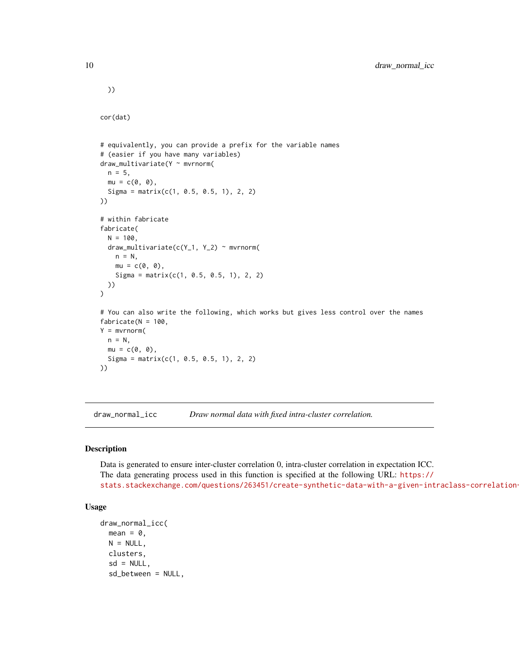```
))
cor(dat)
# equivalently, you can provide a prefix for the variable names
# (easier if you have many variables)
draw_multivariate(Y ~ mvrnorm(
  n = 5,
  mu = c(\emptyset, \emptyset),Sigma = matrix(c(1, 0.5, 0.5, 1), 2, 2)
))
# within fabricate
fabricate(
  N = 100,draw_multivariate(c(Y_1, Y_2) ~ mvrnorm(
    n = N,
    mu = c(\emptyset, \emptyset),Sigma = matrix(c(1, 0.5, 0.5, 1), 2, 2)
  ))
)
# You can also write the following, which works but gives less control over the names
fabricate(N = 100,
Y = mvrnorm(
  n = N,
  mu = c(\emptyset, \emptyset),Sigma = matrix(c(1, 0.5, 0.5, 1), 2, 2)
))
```
<span id="page-9-1"></span>draw\_normal\_icc *Draw normal data with fixed intra-cluster correlation.*

#### Description

Data is generated to ensure inter-cluster correlation 0, intra-cluster correlation in expectation ICC. The data generating process used in this function is specified at the following URL: [https://](https://stats.stackexchange.com/questions/263451/create-synthetic-data-with-a-given-intraclass-correlation-coefficient-icc) stats.stackexchange.com/questions/263451/create-synthetic-data-with-a-given-intraclass-correlation-

# Usage

```
draw_normal_icc(
 mean = 0,
 N = NULL,
 clusters,
  sd = NULL,sd_between = NULL,
```
<span id="page-9-0"></span>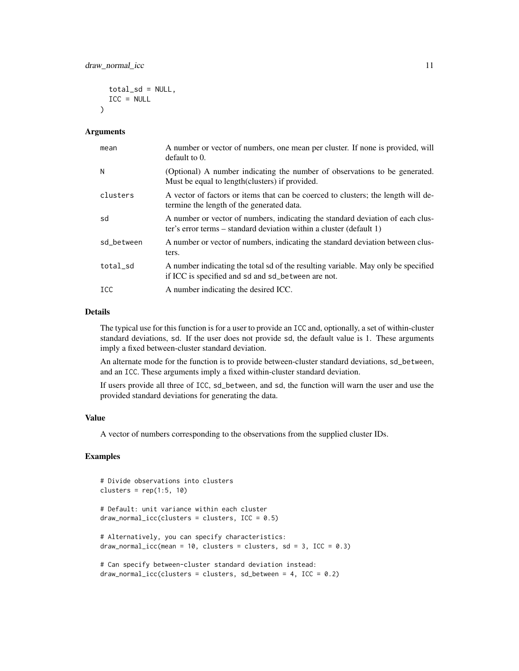```
total_sd = NULL,
  ICC = NULL
)
```
#### Arguments

| mean       | A number or vector of numbers, one mean per cluster. If none is provided, will<br>default to 0.                                                       |
|------------|-------------------------------------------------------------------------------------------------------------------------------------------------------|
| N          | (Optional) A number indicating the number of observations to be generated.<br>Must be equal to length (clusters) if provided.                         |
| clusters   | A vector of factors or items that can be coerced to clusters; the length will de-<br>termine the length of the generated data.                        |
| sd         | A number or vector of numbers, indicating the standard deviation of each clus-<br>ter's error terms – standard deviation within a cluster (default 1) |
| sd_between | A number or vector of numbers, indicating the standard deviation between clus-<br>ters.                                                               |
| total_sd   | A number indicating the total sd of the resulting variable. May only be specified<br>if ICC is specified and sd and sd_between are not.               |
| ICC        | A number indicating the desired ICC.                                                                                                                  |

# Details

The typical use for this function is for a user to provide an ICC and, optionally, a set of within-cluster standard deviations, sd. If the user does not provide sd, the default value is 1. These arguments imply a fixed between-cluster standard deviation.

An alternate mode for the function is to provide between-cluster standard deviations, sd\_between, and an ICC. These arguments imply a fixed within-cluster standard deviation.

If users provide all three of ICC, sd\_between, and sd, the function will warn the user and use the provided standard deviations for generating the data.

#### Value

A vector of numbers corresponding to the observations from the supplied cluster IDs.

```
# Divide observations into clusters
clusters = rep(1:5, 10)# Default: unit variance within each cluster
draw_normal_icc(clusters = clusters, ICC = 0.5)
# Alternatively, you can specify characteristics:
draw_normal_icc(mean = 10, clusters = clusters, sd = 3, ICC = 0.3)
# Can specify between-cluster standard deviation instead:
draw_normal_icc(clusters = clusters, sd_between = 4, ICC = 0.2)
```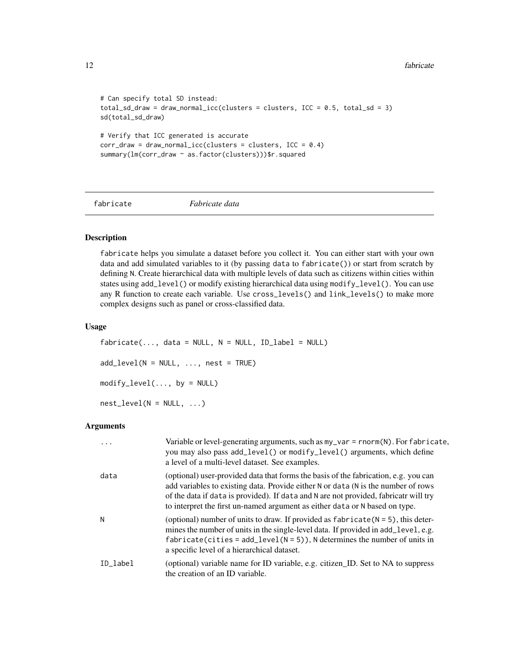```
# Can specify total SD instead:
total_sd_draw = draw_normal_icc(clusters = clusters, ICC = 0.5, total_sd = 3)
sd(total_sd_draw)
# Verify that ICC generated is accurate
corr_draw = draw_normal_icc(clusters = clusters, ICC = 0.4)
summary(lm(corr_draw ~ as.factor(clusters)))$r.squared
```
fabricate *Fabricate data*

# Description

fabricate helps you simulate a dataset before you collect it. You can either start with your own data and add simulated variables to it (by passing data to fabricate()) or start from scratch by defining N. Create hierarchical data with multiple levels of data such as citizens within cities within states using add\_level() or modify existing hierarchical data using modify\_level(). You can use any R function to create each variable. Use cross\_levels() and link\_levels() to make more complex designs such as panel or cross-classified data.

# Usage

 $fabricate(..., data = NULL, N = NULL, ID\_label = NULL)$  $add\_level(N = NULL, ..., next = TRUE)$  $modify\_level(..., by = NULL)$  $nest\_level(N = NULL, ...)$ 

#### Arguments

|          | Variable or level-generating arguments, such as $my\_var = rnorm(N)$ . For fabricate,<br>you may also pass add_level() or modify_level() arguments, which define<br>a level of a multi-level dataset. See examples.                                                                                                                             |
|----------|-------------------------------------------------------------------------------------------------------------------------------------------------------------------------------------------------------------------------------------------------------------------------------------------------------------------------------------------------|
| data     | (optional) user-provided data that forms the basis of the fabrication, e.g. you can<br>add variables to existing data. Provide either N or data (N is the number of rows<br>of the data if data is provided). If data and N are not provided, fabricatr will try<br>to interpret the first un-named argument as either data or N based on type. |
| N        | (optional) number of units to draw. If provided as $f$ abricate( $N = 5$ ), this deter-<br>mines the number of units in the single-level data. If provided in add level, e.g.<br>$fabricate(cities = add\_level(N = 5))$ , N determines the number of units in<br>a specific level of a hierarchical dataset.                                   |
| ID label | (optional) variable name for ID variable, e.g. citizen_ID. Set to NA to suppress<br>the creation of an ID variable.                                                                                                                                                                                                                             |

<span id="page-11-0"></span>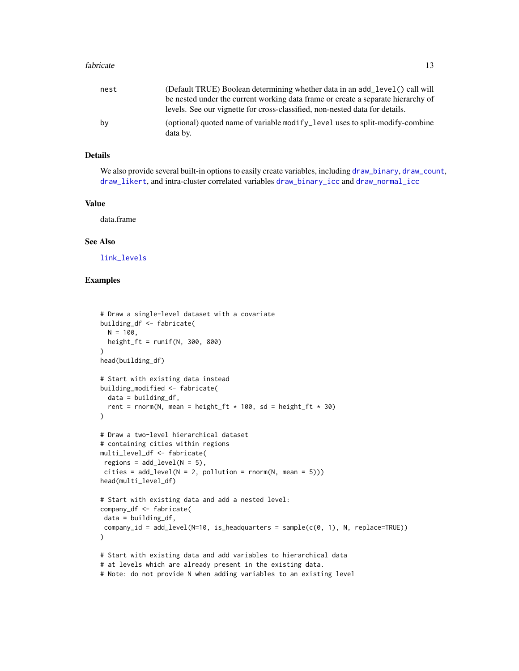#### <span id="page-12-0"></span>fabricate the contract of the contract of the contract of the contract of the contract of the contract of the contract of the contract of the contract of the contract of the contract of the contract of the contract of the

| nest | (Default TRUE) Boolean determining whether data in an add_level() call will              |
|------|------------------------------------------------------------------------------------------|
|      | be nested under the current working data frame or create a separate hierarchy of         |
|      | levels. See our vignette for cross-classified, non-nested data for details.              |
| bv   | (optional) quoted name of variable modify level uses to split-modify-combine<br>data by. |

# Details

We also provide several built-in options to easily create variables, including [draw\\_binary](#page-4-1), [draw\\_count](#page-4-1), [draw\\_likert](#page-7-1), and intra-cluster correlated variables [draw\\_binary\\_icc](#page-3-1) and [draw\\_normal\\_icc](#page-9-1)

#### Value

data.frame

# See Also

[link\\_levels](#page-2-1)

```
# Draw a single-level dataset with a covariate
building_df <- fabricate(
 N = 100,
 height_ft = runit(N, 300, 800)\lambdahead(building_df)
# Start with existing data instead
building_modified <- fabricate(
  data = building_df,
  rent = rnorm(N, mean = height_ft * 100, sd = height_ft * 30)
)
# Draw a two-level hierarchical dataset
# containing cities within regions
multi_level_df <- fabricate(
regions = add\_level(N = 5),
 cities = add\_level(N = 2, pollution = rnorm(N, mean = 5)))head(multi_level_df)
# Start with existing data and add a nested level:
company_df <- fabricate(
 data = building_df,
 company_id = add\_level(N=10, is\_headquarters = sample(c(0, 1), N, replace = TRUE)))
# Start with existing data and add variables to hierarchical data
# at levels which are already present in the existing data.
# Note: do not provide N when adding variables to an existing level
```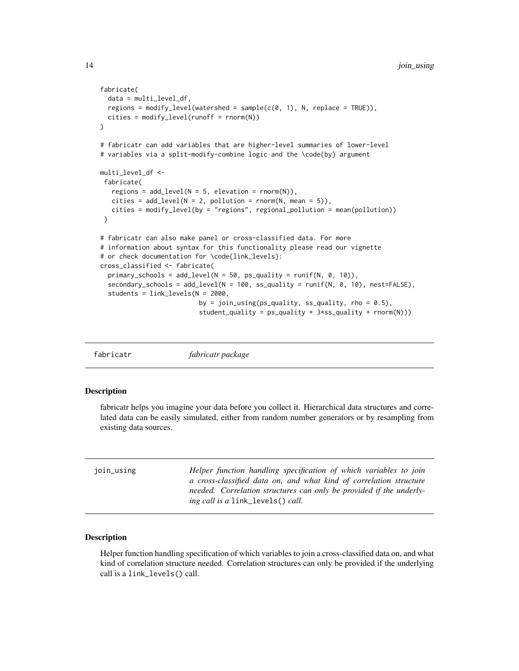```
fabricate(
 data = multi_level_df,
 regions = modify_level(watershed = sample(c(0, 1), N, replace = TRUE)),
 cities = modify\_level(runoff = rnorm(N)))
# fabricatr can add variables that are higher-level summaries of lower-level
# variables via a split-modify-combine logic and the \code{by} argument
multi_level_df <-
fabricate(
  regions = add\_level(N = 5, elevation = rnorm(N)),cities = add\_level(N = 2, pollution = rnorm(N, mean = 5)),cities = modify_level(by = "regions", regional_pollution = mean(pollution))
 )
# fabricatr can also make panel or cross-classified data. For more
# information about syntax for this functionality please read our vignette
# or check documentation for \code{link_levels}:
cross_classified <- fabricate(
 primary_schools = add\_level(N = 50, ps\_quality = runif(N, 0, 10)),secondary_schools = add_level(N = 100, ss_quality = runif(N, 0, 10), nest=FALSE),
 students = link_levels(N = 2000,
                          by = join_using(ps_quality, ss_quality, rho = 0.5),
                          student_quality = ps_quality + 3*ss_quality + rnorm(N)))
```
fabricatr *fabricatr package*

#### Description

fabricatr helps you imagine your data before you collect it. Hierarchical data structures and correlated data can be easily simulated, either from random number generators or by resampling from existing data sources.

| join_using | Helper function handling specification of which variables to join<br>a cross-classified data on, and what kind of correlation structure<br>needed. Correlation structures can only be provided if the underly- |
|------------|----------------------------------------------------------------------------------------------------------------------------------------------------------------------------------------------------------------|
|            | <i>ing call is a</i> link_levels() <i>call.</i>                                                                                                                                                                |

# Description

Helper function handling specification of which variables to join a cross-classified data on, and what kind of correlation structure needed. Correlation structures can only be provided if the underlying call is a link\_levels() call.

<span id="page-13-0"></span>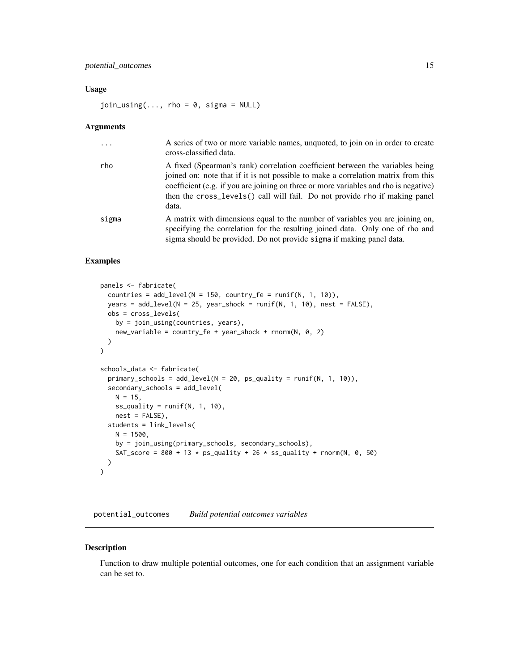#### <span id="page-14-0"></span>Usage

 $join\_using(..., rho = 0, sigma = NULL)$ 

#### Arguments

| $\cdots$ | A series of two or more variable names, unquoted, to join on in order to create<br>cross-classified data.                                                                                                                                                                                                                                         |
|----------|---------------------------------------------------------------------------------------------------------------------------------------------------------------------------------------------------------------------------------------------------------------------------------------------------------------------------------------------------|
| rho      | A fixed (Spearman's rank) correlation coefficient between the variables being<br>joined on: note that if it is not possible to make a correlation matrix from this<br>coefficient (e.g. if you are joining on three or more variables and rho is negative)<br>then the cross_levels() call will fail. Do not provide rho if making panel<br>data. |
| sigma    | A matrix with dimensions equal to the number of variables you are joining on,<br>specifying the correlation for the resulting joined data. Only one of rho and<br>sigma should be provided. Do not provide sigma if making panel data.                                                                                                            |

# Examples

```
panels <- fabricate(
  countries = add\_level(N = 150, country_f e = runif(N, 1, 10)),years = add\_level(N = 25, year\_shock = runif(N, 1, 10), nest = FALSE),obs = cross_levels(
   by = join_using(countries, years),
   new\_variable = country_f e + year\_shock + rnorm(N, 0, 2))
\mathcal{L}schools_data <- fabricate(
  primary_schools = add\_level(N = 20, ps\_quality = runif(N, 1, 10)),secondary_schools = add_level(
   N = 15,
   ss_quality = runif(N, 1, 10),
   nest = FALSE,
  students = link_levels(
   N = 1500,by = join_using(primary_schools, secondary_schools),
   SAT_score = 800 + 13 * ps_quality + 26 * ss_quality + rnorm(N, 0, 50))
)
```
potential\_outcomes *Build potential outcomes variables*

# Description

Function to draw multiple potential outcomes, one for each condition that an assignment variable can be set to.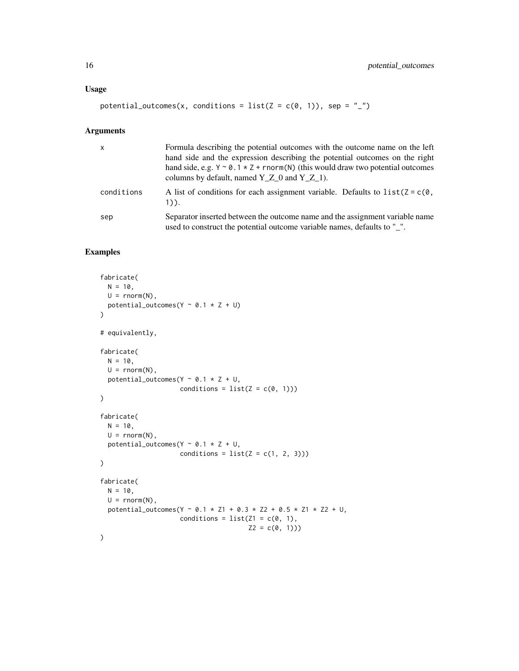# Usage

```
potential_outcomes(x, conditions = list(Z = c(0, 1)), sep = "_")
```
# Arguments

| $\mathsf{x}$ | Formula describing the potential outcomes with the outcome name on the left<br>hand side and the expression describing the potential outcomes on the right<br>hand side, e.g. $Y \sim 0.1 \times Z + \text{rnorm}(N)$ (this would draw two potential outcomes<br>columns by default, named $Y_Z_0$ and $Y_Z_1$ . |
|--------------|------------------------------------------------------------------------------------------------------------------------------------------------------------------------------------------------------------------------------------------------------------------------------------------------------------------|
| conditions   | A list of conditions for each assignment variable. Defaults to $list(Z = c(0,$<br>$1)$ .                                                                                                                                                                                                                         |
| sep          | Separator inserted between the outcome name and the assignment variable name<br>used to construct the potential outcome variable names, defaults to "_".                                                                                                                                                         |

```
fabricate(
  N = 10,
  U = rnorm(N),potential_outcomes(Y \sim \emptyset.1 \times Z + U)
)
# equivalently,
fabricate(
 N = 10,
 U = rnorm(N),potential_outcomes(Y \sim 0.1 \times Z + U,
                      conditions = list(Z = c(0, 1)))\mathcal{L}fabricate(
  N = 10,
 U = rnorm(N),potential_outcomes(Y \sim 0.1 \times Z + U,
                      conditions = list(Z = c(1, 2, 3)))\lambdafabricate(
 N = 10,
  U = rnorm(N),potential_outcomes(Y ~ 0.1 * Z1 + 0.3 * Z2 + 0.5 * Z1 * Z2 + U,
                       conditions = list(21 = c(0, 1)),Z2 = c(0, 1)))
```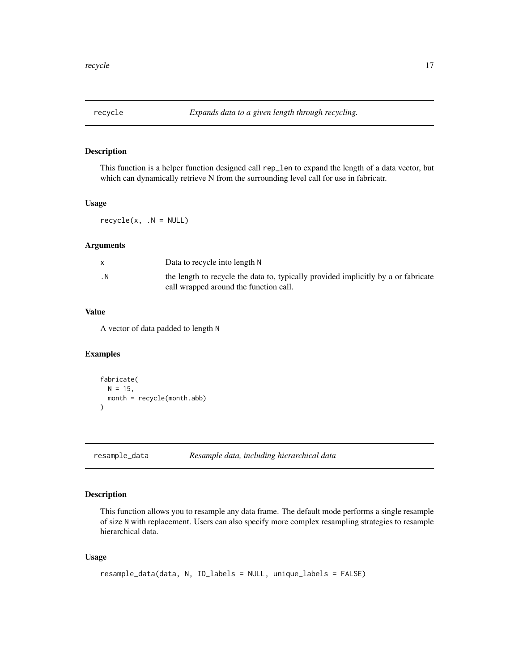<span id="page-16-0"></span>

# Description

This function is a helper function designed call rep\_len to expand the length of a data vector, but which can dynamically retrieve N from the surrounding level call for use in fabricatr.

### Usage

 $recycle(x, .N = NULL)$ 

# Arguments

|     | Data to recycle into length N                                                                                                |
|-----|------------------------------------------------------------------------------------------------------------------------------|
| . N | the length to recycle the data to, typically provided implicitly by a or fabricate<br>call wrapped around the function call. |

# Value

A vector of data padded to length N

# Examples

```
fabricate(
 N = 15,
 month = recycle(month.abb)
)
```
resample\_data *Resample data, including hierarchical data*

# Description

This function allows you to resample any data frame. The default mode performs a single resample of size N with replacement. Users can also specify more complex resampling strategies to resample hierarchical data.

# Usage

```
resample_data(data, N, ID_labels = NULL, unique_labels = FALSE)
```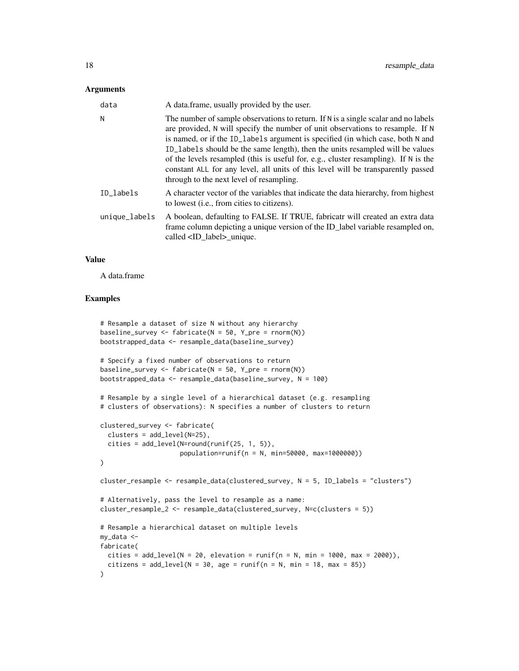# **Arguments**

| data          | A data frame, usually provided by the user.                                                                                                                                                                                                                                                                                                                                                                                                                                                                                                                    |
|---------------|----------------------------------------------------------------------------------------------------------------------------------------------------------------------------------------------------------------------------------------------------------------------------------------------------------------------------------------------------------------------------------------------------------------------------------------------------------------------------------------------------------------------------------------------------------------|
| N             | The number of sample observations to return. If N is a single scalar and no labels<br>are provided, N will specify the number of unit observations to resample. If N<br>is named, or if the ID_labels argument is specified (in which case, both N and<br>ID_labels should be the same length), then the units resampled will be values<br>of the levels resampled (this is useful for, e.g., cluster resampling). If N is the<br>constant ALL for any level, all units of this level will be transparently passed<br>through to the next level of resampling. |
| ID labels     | A character vector of the variables that indicate the data hierarchy, from highest<br>to lowest <i>(i.e., from cities to citizens)</i> .                                                                                                                                                                                                                                                                                                                                                                                                                       |
| unique_labels | A boolean, defaulting to FALSE. If TRUE, fabricatr will created an extra data<br>frame column depicting a unique version of the ID_label variable resampled on,<br>called <id_label>_unique.</id_label>                                                                                                                                                                                                                                                                                                                                                        |

#### Value

A data.frame

```
# Resample a dataset of size N without any hierarchy
baseline_survey <- fabricate(N = 50, Y_pre = rnorm(N))bootstrapped_data <- resample_data(baseline_survey)
# Specify a fixed number of observations to return
baseline_survey <- fabricate(N = 50, Y\_pre = rnorm(N))
bootstrapped_data <- resample_data(baseline_survey, N = 100)
# Resample by a single level of a hierarchical dataset (e.g. resampling
# clusters of observations): N specifies a number of clusters to return
clustered_survey <- fabricate(
  clusters = add_level(N=25),
  cities = add_level(N=round(runif(25, 1, 5)),
                     population=runif(n = N, min=50000, max=1000000))
)
cluster_resample <- resample_data(clustered_survey, N = 5, ID_labels = "clusters")
# Alternatively, pass the level to resample as a name:
cluster_resample_2 <- resample_data(clustered_survey, N=c(clusters = 5))
# Resample a hierarchical dataset on multiple levels
my_data <-
fabricate(
  cities = add_level(N = 20, elevation = runif(n = N, min = 1000, max = 2000)),
  citizens = add_level(N = 30, age = runif(n = N, min = 18, max = 85))
)
```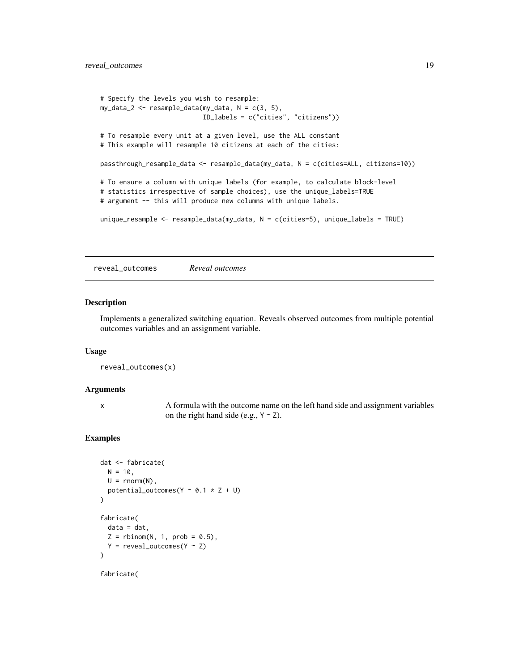```
# Specify the levels you wish to resample:
my_data_2 \leftarrow resample_data(my_data, N = c(3, 5),ID_labels = c("cities", "citizens"))
# To resample every unit at a given level, use the ALL constant
# This example will resample 10 citizens at each of the cities:
passthrough_resample_data <- resample_data(my_data, N = c(cities=ALL, citizens=10))
# To ensure a column with unique labels (for example, to calculate block-level
# statistics irrespective of sample choices), use the unique_labels=TRUE
# argument -- this will produce new columns with unique labels.
unique_resample <- resample_data(my_data, N = c(cities=5), unique_labels = TRUE)
```
reveal\_outcomes *Reveal outcomes*

# Description

Implements a generalized switching equation. Reveals observed outcomes from multiple potential outcomes variables and an assignment variable.

#### Usage

```
reveal_outcomes(x)
```
#### Arguments

x A formula with the outcome name on the left hand side and assignment variables on the right hand side (e.g.,  $Y \sim Z$ ).

```
dat <- fabricate(
  N = 10,
  U = rnorm(N),potential_outcomes(Y ~ 0.1 * Z + U)
\mathcal{L}fabricate(
  data = dat,Z = \text{rbinom}(N, 1, \text{prob} = 0.5),
  Y = reveal\_outcomes(Y \sim Z))
fabricate(
```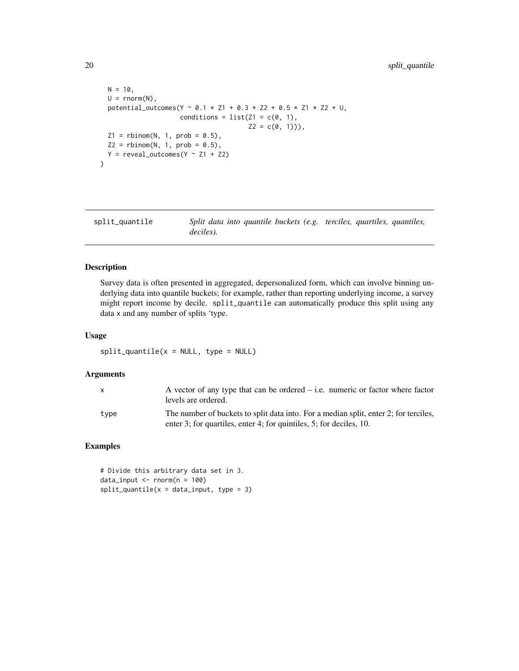```
N = 10,
  U = rnorm(N),potential_outcomes(Y ~ 0.1 * Z1 + 0.3 * Z2 + 0.5 * Z1 * Z2 + U,
                      conditions = list(Z1 = c(0, 1)),Z2 = c(0, 1)),
  Z1 = \text{rbinom}(N, 1, \text{prob} = 0.5),Z2 = rbinom(N, 1, prob = 0.5),
  Y = reveal\_outcomes(Y \sim Z1 + Z2)\lambda
```
split\_quantile *Split data into quantile buckets (e.g. terciles, quartiles, quantiles, deciles).*

#### Description

Survey data is often presented in aggregated, depersonalized form, which can involve binning underlying data into quantile buckets; for example, rather than reporting underlying income, a survey might report income by decile. split\_quantile can automatically produce this split using any data x and any number of splits 'type.

# Usage

 $split\_quantile(x = NULL, type = NULL)$ 

# Arguments

|      | A vector of any type that can be ordered $-$ i.e. numeric or factor where factor<br>levels are ordered.                                                     |
|------|-------------------------------------------------------------------------------------------------------------------------------------------------------------|
| tvpe | The number of buckets to split data into. For a median split, enter 2; for terciles,<br>enter 3; for quartiles, enter 4; for quintiles, 5; for deciles, 10. |

#### Examples

# Divide this arbitrary data set in 3. data\_input <- rnorm(n = 100)  $split\_quantile(x = data\_input, type = 3)$ 

<span id="page-19-0"></span>